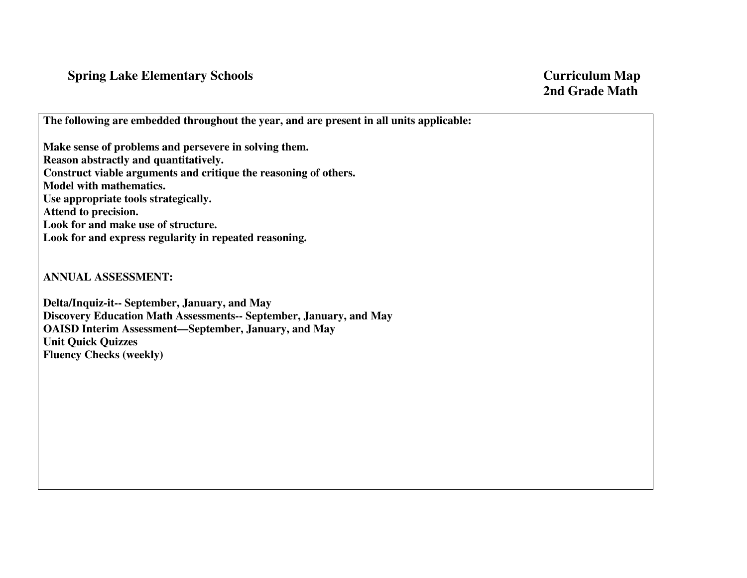## **Spring Lake Elementary Schools Curriculum Map Curriculum Map**

**The following are embedded throughout the year, and are present in all units applicable:** 

**Make sense of problems and persevere in solving them. Reason abstractly and quantitatively. Construct viable arguments and critique the reasoning of others. Model with mathematics. Use appropriate tools strategically. Attend to precision. Look for and make use of structure. Look for and express regularity in repeated reasoning.** 

**ANNUAL ASSESSMENT:** 

**Delta/Inquiz-it-- September, January, and May Discovery Education Math Assessments-- September, January, and May OAISD Interim Assessment—September, January, and May Unit Quick Quizzes Fluency Checks (weekly)**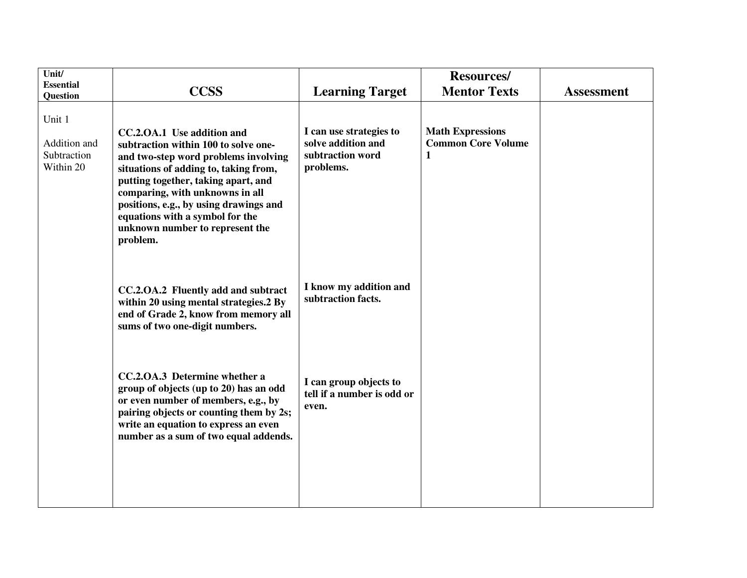| Unit/<br><b>Essential</b>                                      | <b>CCSS</b>                                                                                                                                                                                                                                                                                                                                               | <b>Learning Target</b>                                                         | <b>Resources/</b><br><b>Mentor Texts</b>                  | <b>Assessment</b> |
|----------------------------------------------------------------|-----------------------------------------------------------------------------------------------------------------------------------------------------------------------------------------------------------------------------------------------------------------------------------------------------------------------------------------------------------|--------------------------------------------------------------------------------|-----------------------------------------------------------|-------------------|
| Question<br>Unit 1<br>Addition and<br>Subtraction<br>Within 20 | CC.2.OA.1 Use addition and<br>subtraction within 100 to solve one-<br>and two-step word problems involving<br>situations of adding to, taking from,<br>putting together, taking apart, and<br>comparing, with unknowns in all<br>positions, e.g., by using drawings and<br>equations with a symbol for the<br>unknown number to represent the<br>problem. | I can use strategies to<br>solve addition and<br>subtraction word<br>problems. | <b>Math Expressions</b><br><b>Common Core Volume</b><br>1 |                   |
|                                                                | CC.2.OA.2 Fluently add and subtract<br>within 20 using mental strategies.2 By<br>end of Grade 2, know from memory all<br>sums of two one-digit numbers.                                                                                                                                                                                                   | I know my addition and<br>subtraction facts.                                   |                                                           |                   |
|                                                                | CC.2.OA.3 Determine whether a<br>group of objects (up to 20) has an odd<br>or even number of members, e.g., by<br>pairing objects or counting them by 2s;<br>write an equation to express an even<br>number as a sum of two equal addends.                                                                                                                | I can group objects to<br>tell if a number is odd or<br>even.                  |                                                           |                   |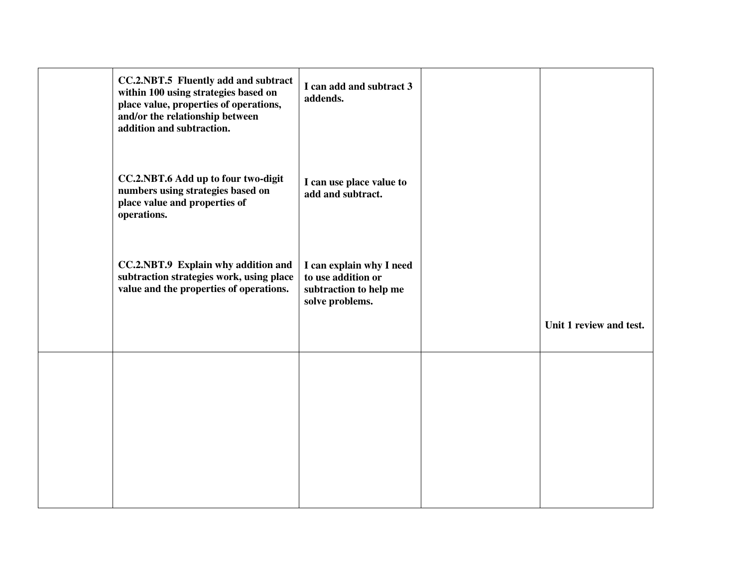| CC.2.NBT.5 Fluently add and subtract<br>within 100 using strategies based on<br>place value, properties of operations,<br>and/or the relationship between<br>addition and subtraction. | I can add and subtract 3<br>addends.                                                        |                         |
|----------------------------------------------------------------------------------------------------------------------------------------------------------------------------------------|---------------------------------------------------------------------------------------------|-------------------------|
| CC.2.NBT.6 Add up to four two-digit<br>numbers using strategies based on<br>place value and properties of<br>operations.                                                               | I can use place value to<br>add and subtract.                                               |                         |
| CC.2.NBT.9 Explain why addition and<br>subtraction strategies work, using place<br>value and the properties of operations.                                                             | I can explain why I need<br>to use addition or<br>subtraction to help me<br>solve problems. |                         |
|                                                                                                                                                                                        |                                                                                             | Unit 1 review and test. |
|                                                                                                                                                                                        |                                                                                             |                         |
|                                                                                                                                                                                        |                                                                                             |                         |
|                                                                                                                                                                                        |                                                                                             |                         |
|                                                                                                                                                                                        |                                                                                             |                         |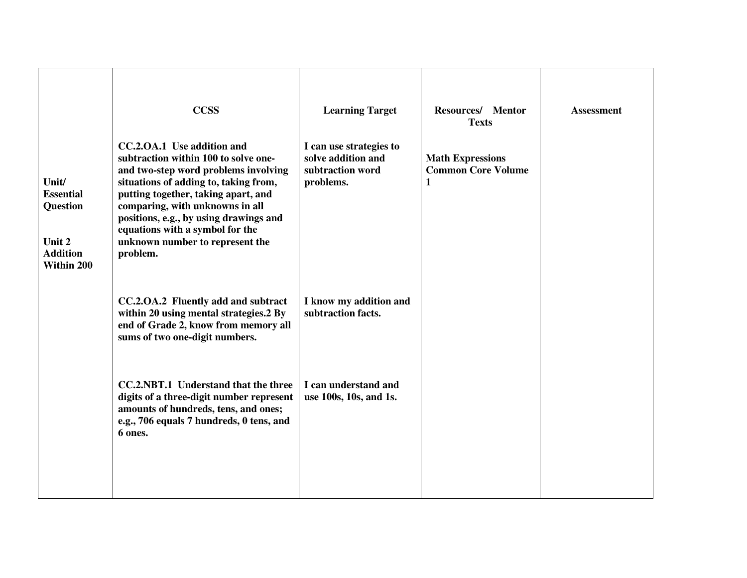| Unit/<br><b>Essential</b><br><b>Question</b><br>Unit 2<br><b>Addition</b><br>Within 200 | <b>CCSS</b><br>CC.2.OA.1 Use addition and<br>subtraction within 100 to solve one-<br>and two-step word problems involving<br>situations of adding to, taking from,<br>putting together, taking apart, and<br>comparing, with unknowns in all<br>positions, e.g., by using drawings and<br>equations with a symbol for the<br>unknown number to represent the<br>problem. | <b>Learning Target</b><br>I can use strategies to<br>solve addition and<br>subtraction word<br>problems. | Resources/ Mentor<br><b>Texts</b><br><b>Math Expressions</b><br><b>Common Core Volume</b><br>$\mathbf{1}$ | <b>Assessment</b> |
|-----------------------------------------------------------------------------------------|--------------------------------------------------------------------------------------------------------------------------------------------------------------------------------------------------------------------------------------------------------------------------------------------------------------------------------------------------------------------------|----------------------------------------------------------------------------------------------------------|-----------------------------------------------------------------------------------------------------------|-------------------|
|                                                                                         | CC.2.OA.2 Fluently add and subtract<br>within 20 using mental strategies.2 By<br>end of Grade 2, know from memory all<br>sums of two one-digit numbers.                                                                                                                                                                                                                  | I know my addition and<br>subtraction facts.                                                             |                                                                                                           |                   |
|                                                                                         | CC.2.NBT.1 Understand that the three<br>digits of a three-digit number represent<br>amounts of hundreds, tens, and ones;<br>e.g., 706 equals 7 hundreds, 0 tens, and<br>6 ones.                                                                                                                                                                                          | I can understand and<br>use 100s, 10s, and 1s.                                                           |                                                                                                           |                   |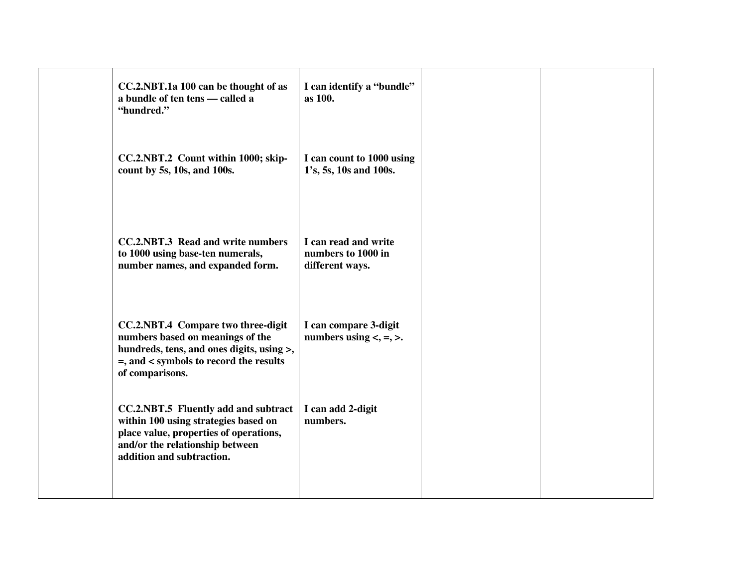| CC.2.NBT.1a 100 can be thought of as<br>a bundle of ten tens - called a<br>"hundred."                                                                                                  | I can identify a "bundle"<br>as 100.                          |  |
|----------------------------------------------------------------------------------------------------------------------------------------------------------------------------------------|---------------------------------------------------------------|--|
| CC.2.NBT.2 Count within 1000; skip-<br>count by 5s, 10s, and 100s.                                                                                                                     | I can count to 1000 using<br>1's, 5s, 10s and 100s.           |  |
| <b>CC.2.NBT.3 Read and write numbers</b><br>to 1000 using base-ten numerals,<br>number names, and expanded form.                                                                       | I can read and write<br>numbers to 1000 in<br>different ways. |  |
| CC.2.NBT.4 Compare two three-digit<br>numbers based on meanings of the<br>hundreds, tens, and ones digits, using >,<br>=, and < symbols to record the results<br>of comparisons.       | I can compare 3-digit<br>numbers using $\lt$ , $=$ , $\gt$ .  |  |
| CC.2.NBT.5 Fluently add and subtract<br>within 100 using strategies based on<br>place value, properties of operations,<br>and/or the relationship between<br>addition and subtraction. | I can add 2-digit<br>numbers.                                 |  |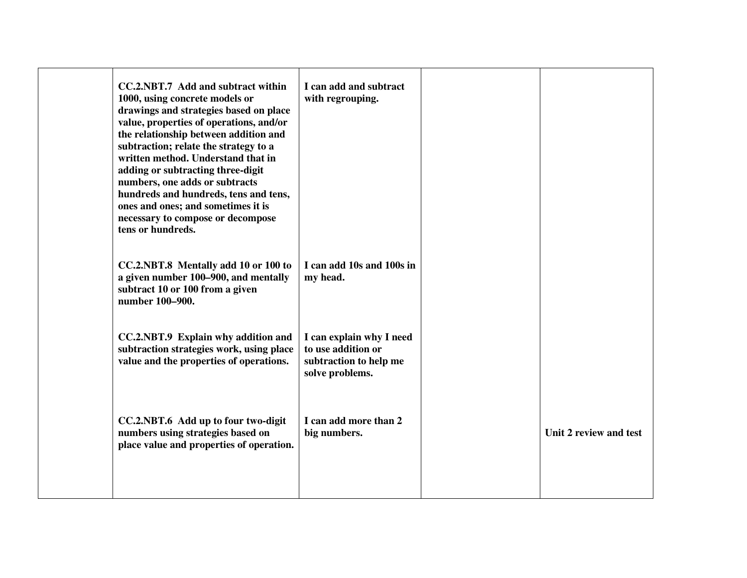| CC.2.NBT.7 Add and subtract within<br>1000, using concrete models or<br>drawings and strategies based on place<br>value, properties of operations, and/or<br>the relationship between addition and<br>subtraction; relate the strategy to a<br>written method. Understand that in<br>adding or subtracting three-digit<br>numbers, one adds or subtracts<br>hundreds and hundreds, tens and tens,<br>ones and ones; and sometimes it is<br>necessary to compose or decompose<br>tens or hundreds. | I can add and subtract<br>with regrouping.                                                  |                        |
|---------------------------------------------------------------------------------------------------------------------------------------------------------------------------------------------------------------------------------------------------------------------------------------------------------------------------------------------------------------------------------------------------------------------------------------------------------------------------------------------------|---------------------------------------------------------------------------------------------|------------------------|
| CC.2.NBT.8 Mentally add 10 or 100 to<br>a given number 100–900, and mentally<br>subtract 10 or 100 from a given<br>number 100-900.                                                                                                                                                                                                                                                                                                                                                                | I can add 10s and 100s in<br>my head.                                                       |                        |
| CC.2.NBT.9 Explain why addition and<br>subtraction strategies work, using place<br>value and the properties of operations.                                                                                                                                                                                                                                                                                                                                                                        | I can explain why I need<br>to use addition or<br>subtraction to help me<br>solve problems. |                        |
| CC.2.NBT.6 Add up to four two-digit<br>numbers using strategies based on<br>place value and properties of operation.                                                                                                                                                                                                                                                                                                                                                                              | I can add more than 2<br>big numbers.                                                       | Unit 2 review and test |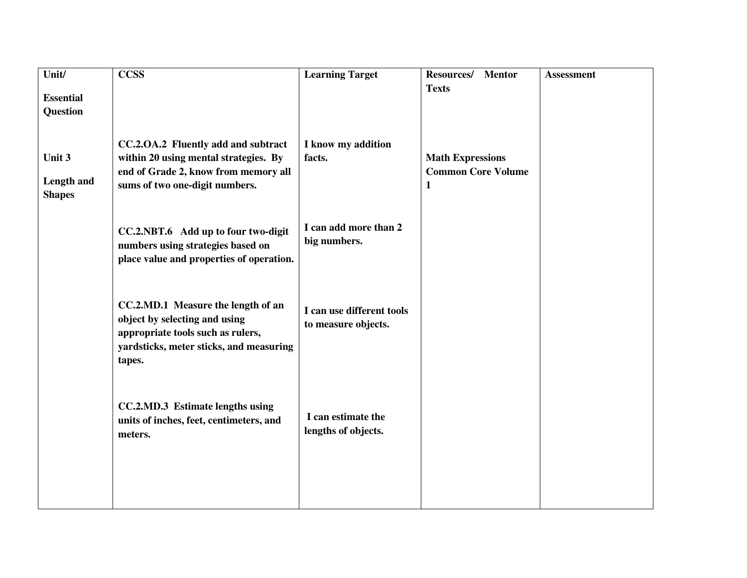| $\overline{\text{Unit}}$ | <b>CCSS</b>                              | <b>Learning Target</b>    | Resources/<br><b>Mentor</b> | <b>Assessment</b> |
|--------------------------|------------------------------------------|---------------------------|-----------------------------|-------------------|
|                          |                                          |                           | <b>Texts</b>                |                   |
| <b>Essential</b>         |                                          |                           |                             |                   |
| <b>Question</b>          |                                          |                           |                             |                   |
|                          |                                          |                           |                             |                   |
|                          | CC.2.OA.2 Fluently add and subtract      | I know my addition        |                             |                   |
| Unit 3                   | within 20 using mental strategies. By    | facts.                    | <b>Math Expressions</b>     |                   |
|                          | end of Grade 2, know from memory all     |                           | <b>Common Core Volume</b>   |                   |
| <b>Length and</b>        | sums of two one-digit numbers.           |                           | $\mathbf{1}$                |                   |
| <b>Shapes</b>            |                                          |                           |                             |                   |
|                          |                                          |                           |                             |                   |
|                          | CC.2.NBT.6 Add up to four two-digit      | I can add more than 2     |                             |                   |
|                          | numbers using strategies based on        | big numbers.              |                             |                   |
|                          | place value and properties of operation. |                           |                             |                   |
|                          |                                          |                           |                             |                   |
|                          |                                          |                           |                             |                   |
|                          | CC.2.MD.1 Measure the length of an       |                           |                             |                   |
|                          | object by selecting and using            | I can use different tools |                             |                   |
|                          | appropriate tools such as rulers,        | to measure objects.       |                             |                   |
|                          | yardsticks, meter sticks, and measuring  |                           |                             |                   |
|                          | tapes.                                   |                           |                             |                   |
|                          |                                          |                           |                             |                   |
|                          |                                          |                           |                             |                   |
|                          | CC.2.MD.3 Estimate lengths using         |                           |                             |                   |
|                          | units of inches, feet, centimeters, and  | I can estimate the        |                             |                   |
|                          | meters.                                  | lengths of objects.       |                             |                   |
|                          |                                          |                           |                             |                   |
|                          |                                          |                           |                             |                   |
|                          |                                          |                           |                             |                   |
|                          |                                          |                           |                             |                   |
|                          |                                          |                           |                             |                   |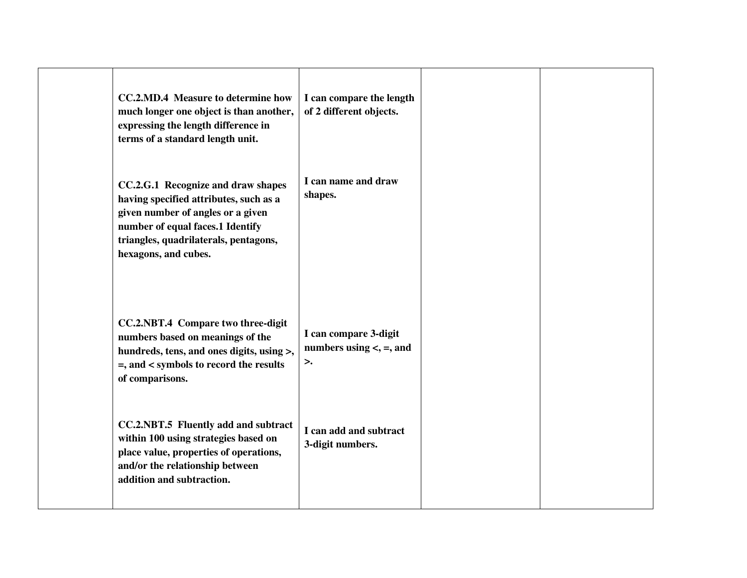| <b>CC.2.MD.4 Measure to determine how</b><br>much longer one object is than another,<br>expressing the length difference in<br>terms of a standard length unit.                                                        | I can compare the length<br>of 2 different objects.            |  |
|------------------------------------------------------------------------------------------------------------------------------------------------------------------------------------------------------------------------|----------------------------------------------------------------|--|
| CC.2.G.1 Recognize and draw shapes<br>having specified attributes, such as a<br>given number of angles or a given<br>number of equal faces.1 Identify<br>triangles, quadrilaterals, pentagons,<br>hexagons, and cubes. | I can name and draw<br>shapes.                                 |  |
| CC.2.NBT.4 Compare two three-digit<br>numbers based on meanings of the<br>hundreds, tens, and ones digits, using >,<br>=, and < symbols to record the results<br>of comparisons.                                       | I can compare 3-digit<br>numbers using $\lt$ , $=$ , and<br>>. |  |
| CC.2.NBT.5 Fluently add and subtract<br>within 100 using strategies based on<br>place value, properties of operations,<br>and/or the relationship between<br>addition and subtraction.                                 | I can add and subtract<br>3-digit numbers.                     |  |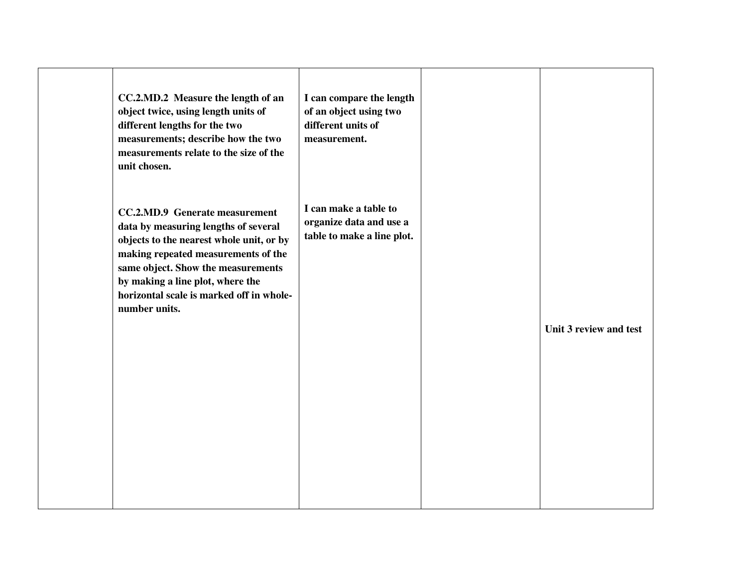| CC.2.MD.2 Measure the length of an<br>object twice, using length units of<br>different lengths for the two<br>measurements; describe how the two<br>measurements relate to the size of the<br>unit chosen.                                                                                              | I can compare the length<br>of an object using two<br>different units of<br>measurement. |                        |
|---------------------------------------------------------------------------------------------------------------------------------------------------------------------------------------------------------------------------------------------------------------------------------------------------------|------------------------------------------------------------------------------------------|------------------------|
| <b>CC.2.MD.9</b> Generate measurement<br>data by measuring lengths of several<br>objects to the nearest whole unit, or by<br>making repeated measurements of the<br>same object. Show the measurements<br>by making a line plot, where the<br>horizontal scale is marked off in whole-<br>number units. | I can make a table to<br>organize data and use a<br>table to make a line plot.           | Unit 3 review and test |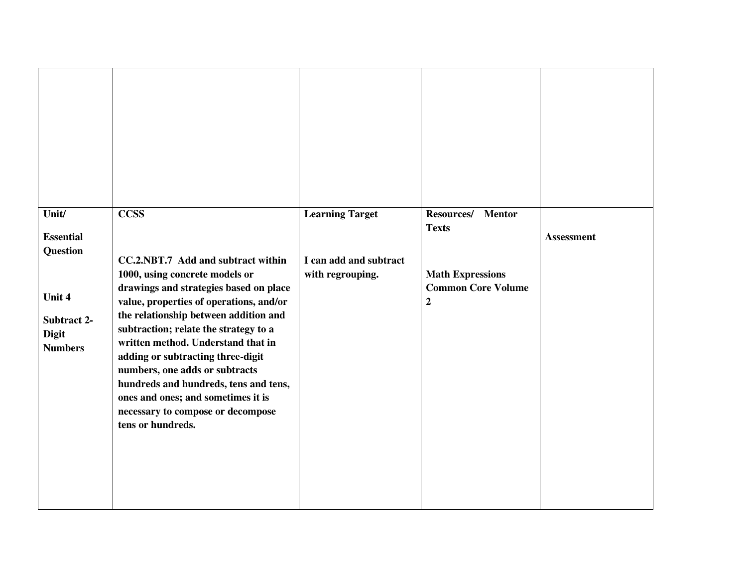| Unit/<br><b>Essential</b><br><b>Question</b><br>Unit 4<br>Subtract 2-<br><b>Digit</b><br><b>Numbers</b> | <b>CCSS</b><br>CC.2.NBT.7 Add and subtract within<br>1000, using concrete models or<br>drawings and strategies based on place<br>value, properties of operations, and/or<br>the relationship between addition and<br>subtraction; relate the strategy to a<br>written method. Understand that in<br>adding or subtracting three-digit<br>numbers, one adds or subtracts<br>hundreds and hundreds, tens and tens,<br>ones and ones; and sometimes it is<br>necessary to compose or decompose<br>tens or hundreds. | <b>Learning Target</b><br>I can add and subtract<br>with regrouping. | Resources/<br><b>Mentor</b><br><b>Texts</b><br><b>Math Expressions</b><br><b>Common Core Volume</b><br>$\boldsymbol{2}$ | <b>Assessment</b> |
|---------------------------------------------------------------------------------------------------------|------------------------------------------------------------------------------------------------------------------------------------------------------------------------------------------------------------------------------------------------------------------------------------------------------------------------------------------------------------------------------------------------------------------------------------------------------------------------------------------------------------------|----------------------------------------------------------------------|-------------------------------------------------------------------------------------------------------------------------|-------------------|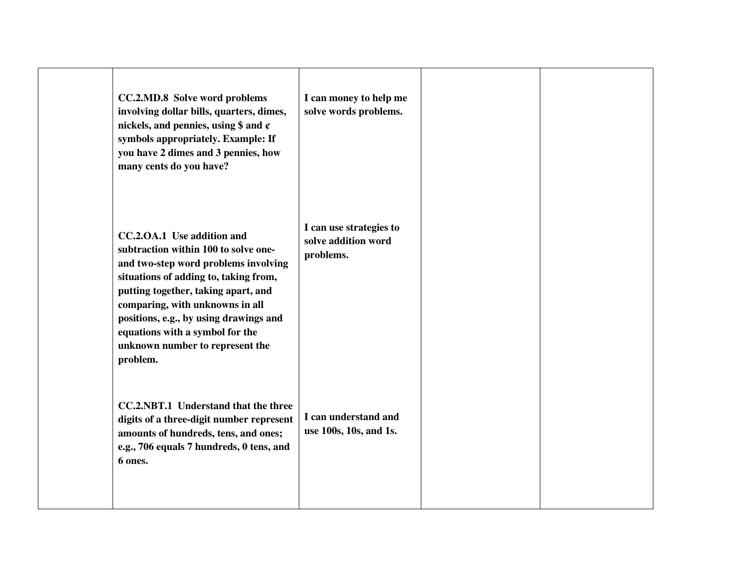| CC.2.MD.8 Solve word problems<br>involving dollar bills, quarters, dimes,<br>nickels, and pennies, using \$ and $\varphi$<br>symbols appropriately. Example: If<br>you have 2 dimes and 3 pennies, how<br>many cents do you have?                                                                                                                         | I can money to help me<br>solve words problems.             |  |
|-----------------------------------------------------------------------------------------------------------------------------------------------------------------------------------------------------------------------------------------------------------------------------------------------------------------------------------------------------------|-------------------------------------------------------------|--|
| CC.2.OA.1 Use addition and<br>subtraction within 100 to solve one-<br>and two-step word problems involving<br>situations of adding to, taking from,<br>putting together, taking apart, and<br>comparing, with unknowns in all<br>positions, e.g., by using drawings and<br>equations with a symbol for the<br>unknown number to represent the<br>problem. | I can use strategies to<br>solve addition word<br>problems. |  |
| CC.2.NBT.1 Understand that the three<br>digits of a three-digit number represent<br>amounts of hundreds, tens, and ones;<br>e.g., 706 equals 7 hundreds, 0 tens, and<br>6 ones.                                                                                                                                                                           | I can understand and<br>use 100s, 10s, and 1s.              |  |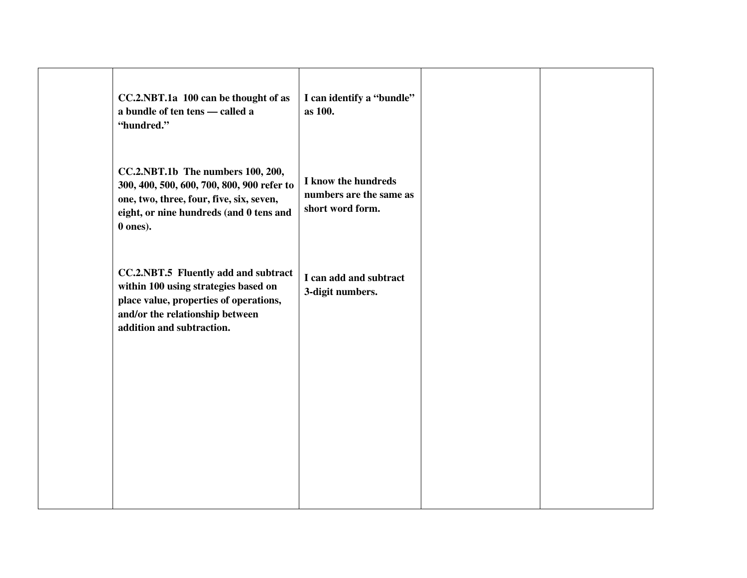| CC.2.NBT.1a 100 can be thought of as<br>a bundle of ten tens - called a<br>"hundred."                                                                                                  | I can identify a "bundle"<br>as 100.                               |  |
|----------------------------------------------------------------------------------------------------------------------------------------------------------------------------------------|--------------------------------------------------------------------|--|
| CC.2.NBT.1b The numbers 100, 200,<br>300, 400, 500, 600, 700, 800, 900 refer to<br>one, two, three, four, five, six, seven,<br>eight, or nine hundreds (and 0 tens and<br>$0$ ones).   | I know the hundreds<br>numbers are the same as<br>short word form. |  |
| CC.2.NBT.5 Fluently add and subtract<br>within 100 using strategies based on<br>place value, properties of operations,<br>and/or the relationship between<br>addition and subtraction. | I can add and subtract<br>3-digit numbers.                         |  |
|                                                                                                                                                                                        |                                                                    |  |
|                                                                                                                                                                                        |                                                                    |  |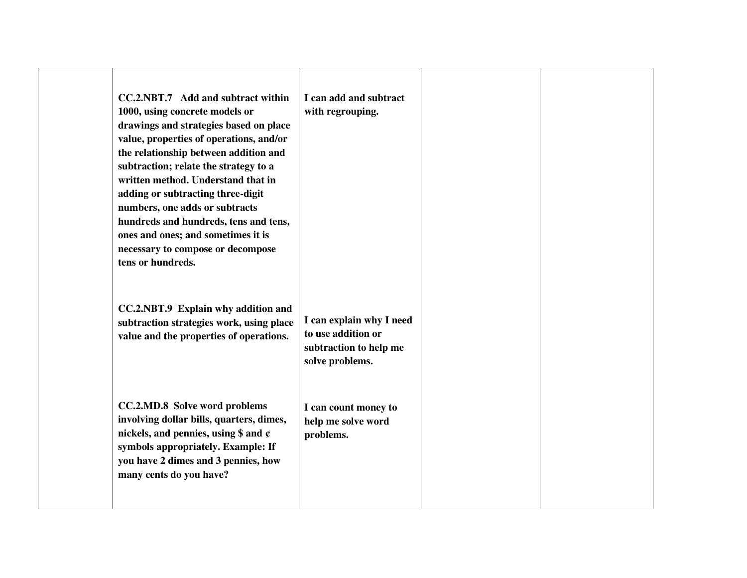| CC.2.NBT.7 Add and subtract within<br>1000, using concrete models or<br>drawings and strategies based on place<br>value, properties of operations, and/or<br>the relationship between addition and<br>subtraction; relate the strategy to a<br>written method. Understand that in<br>adding or subtracting three-digit<br>numbers, one adds or subtracts<br>hundreds and hundreds, tens and tens,<br>ones and ones; and sometimes it is<br>necessary to compose or decompose<br>tens or hundreds. | I can add and subtract<br>with regrouping.                                                  |  |
|---------------------------------------------------------------------------------------------------------------------------------------------------------------------------------------------------------------------------------------------------------------------------------------------------------------------------------------------------------------------------------------------------------------------------------------------------------------------------------------------------|---------------------------------------------------------------------------------------------|--|
| CC.2.NBT.9 Explain why addition and<br>subtraction strategies work, using place<br>value and the properties of operations.                                                                                                                                                                                                                                                                                                                                                                        | I can explain why I need<br>to use addition or<br>subtraction to help me<br>solve problems. |  |
| CC.2.MD.8 Solve word problems<br>involving dollar bills, quarters, dimes,<br>nickels, and pennies, using \$ and $\varphi$<br>symbols appropriately. Example: If<br>you have 2 dimes and 3 pennies, how<br>many cents do you have?                                                                                                                                                                                                                                                                 | I can count money to<br>help me solve word<br>problems.                                     |  |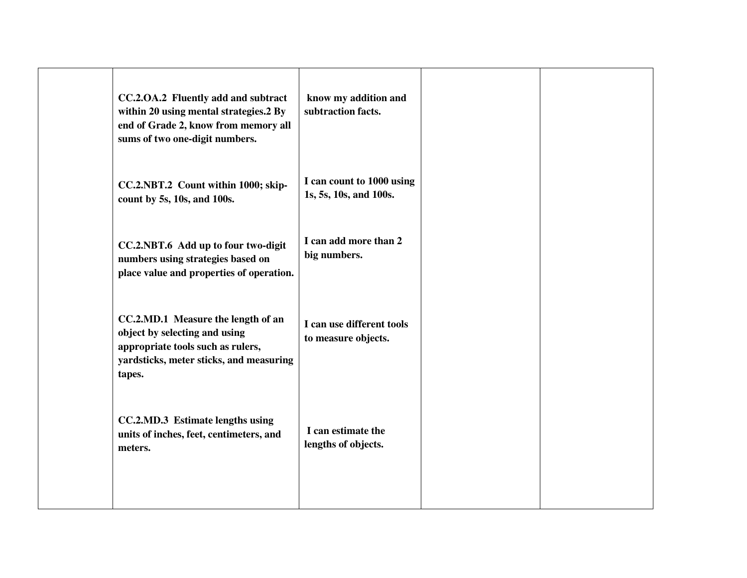| CC.2.OA.2 Fluently add and subtract<br>within 20 using mental strategies.2 By<br>end of Grade 2, know from memory all<br>sums of two one-digit numbers.       | know my addition and<br>subtraction facts.          |  |
|---------------------------------------------------------------------------------------------------------------------------------------------------------------|-----------------------------------------------------|--|
| CC.2.NBT.2 Count within 1000; skip-<br>count by 5s, 10s, and 100s.                                                                                            | I can count to 1000 using<br>1s, 5s, 10s, and 100s. |  |
| CC.2.NBT.6 Add up to four two-digit<br>numbers using strategies based on<br>place value and properties of operation.                                          | I can add more than 2<br>big numbers.               |  |
| CC.2.MD.1 Measure the length of an<br>object by selecting and using<br>appropriate tools such as rulers,<br>yardsticks, meter sticks, and measuring<br>tapes. | I can use different tools<br>to measure objects.    |  |
| CC.2.MD.3 Estimate lengths using<br>units of inches, feet, centimeters, and<br>meters.                                                                        | I can estimate the<br>lengths of objects.           |  |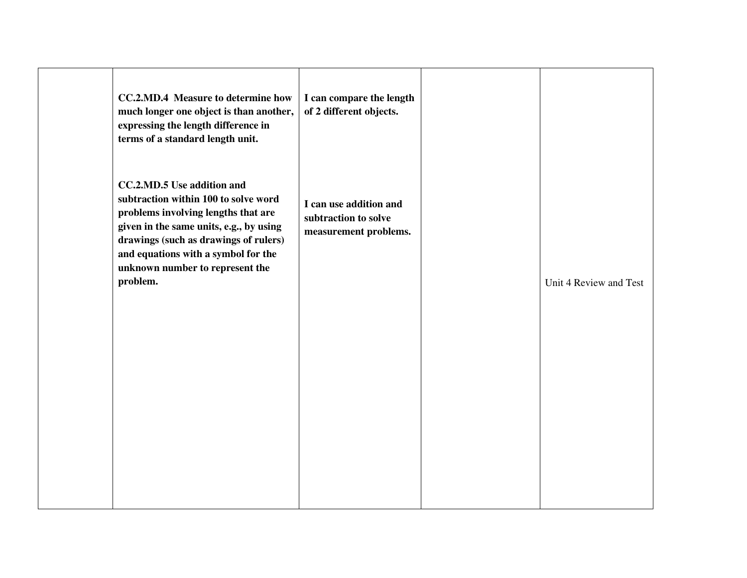| <b>CC.2.MD.4</b> Measure to determine how<br>much longer one object is than another,<br>expressing the length difference in<br>terms of a standard length unit.                                                                                                                            | I can compare the length<br>of 2 different objects.                     |                        |
|--------------------------------------------------------------------------------------------------------------------------------------------------------------------------------------------------------------------------------------------------------------------------------------------|-------------------------------------------------------------------------|------------------------|
| <b>CC.2.MD.5 Use addition and</b><br>subtraction within 100 to solve word<br>problems involving lengths that are<br>given in the same units, e.g., by using<br>drawings (such as drawings of rulers)<br>and equations with a symbol for the<br>unknown number to represent the<br>problem. | I can use addition and<br>subtraction to solve<br>measurement problems. | Unit 4 Review and Test |
|                                                                                                                                                                                                                                                                                            |                                                                         |                        |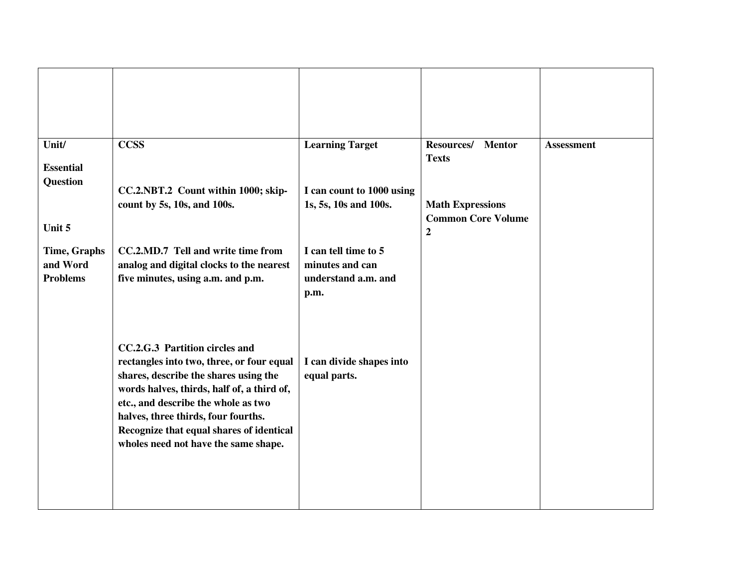| Unit/                           | <b>CCSS</b>                                                                                                                                                                                                                                                                                                                          | <b>Learning Target</b>                   | Resources/ Mentor         | <b>Assessment</b> |
|---------------------------------|--------------------------------------------------------------------------------------------------------------------------------------------------------------------------------------------------------------------------------------------------------------------------------------------------------------------------------------|------------------------------------------|---------------------------|-------------------|
| <b>Essential</b>                |                                                                                                                                                                                                                                                                                                                                      |                                          | <b>Texts</b>              |                   |
| <b>Question</b>                 | CC.2.NBT.2 Count within 1000; skip-                                                                                                                                                                                                                                                                                                  | I can count to 1000 using                |                           |                   |
|                                 | count by 5s, 10s, and 100s.                                                                                                                                                                                                                                                                                                          | 1s, 5s, 10s and 100s.                    | <b>Math Expressions</b>   |                   |
| Unit 5                          |                                                                                                                                                                                                                                                                                                                                      |                                          | <b>Common Core Volume</b> |                   |
|                                 |                                                                                                                                                                                                                                                                                                                                      |                                          | $\boldsymbol{2}$          |                   |
| <b>Time, Graphs</b><br>and Word | CC.2.MD.7 Tell and write time from<br>analog and digital clocks to the nearest                                                                                                                                                                                                                                                       | I can tell time to 5<br>minutes and can  |                           |                   |
| <b>Problems</b>                 | five minutes, using a.m. and p.m.                                                                                                                                                                                                                                                                                                    | understand a.m. and                      |                           |                   |
|                                 |                                                                                                                                                                                                                                                                                                                                      | p.m.                                     |                           |                   |
|                                 | CC.2.G.3 Partition circles and<br>rectangles into two, three, or four equal<br>shares, describe the shares using the<br>words halves, thirds, half of, a third of,<br>etc., and describe the whole as two<br>halves, three thirds, four fourths.<br>Recognize that equal shares of identical<br>wholes need not have the same shape. | I can divide shapes into<br>equal parts. |                           |                   |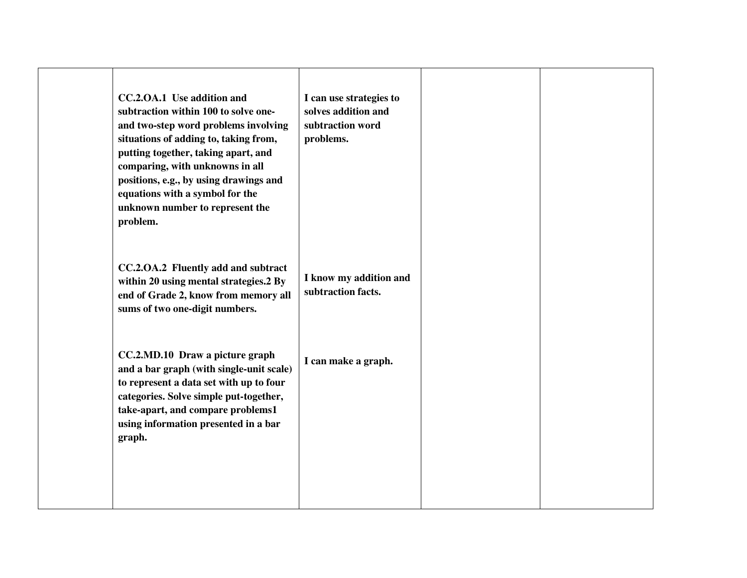| CC.2.OA.1 Use addition and<br>subtraction within 100 to solve one-<br>and two-step word problems involving<br>situations of adding to, taking from,<br>putting together, taking apart, and<br>comparing, with unknowns in all<br>positions, e.g., by using drawings and<br>equations with a symbol for the<br>unknown number to represent the<br>problem. | I can use strategies to<br>solves addition and<br>subtraction word<br>problems. |  |
|-----------------------------------------------------------------------------------------------------------------------------------------------------------------------------------------------------------------------------------------------------------------------------------------------------------------------------------------------------------|---------------------------------------------------------------------------------|--|
| CC.2.OA.2 Fluently add and subtract<br>within 20 using mental strategies.2 By<br>end of Grade 2, know from memory all<br>sums of two one-digit numbers.                                                                                                                                                                                                   | I know my addition and<br>subtraction facts.                                    |  |
| CC.2.MD.10 Draw a picture graph<br>and a bar graph (with single-unit scale)<br>to represent a data set with up to four<br>categories. Solve simple put-together,<br>take-apart, and compare problems1<br>using information presented in a bar<br>graph.                                                                                                   | I can make a graph.                                                             |  |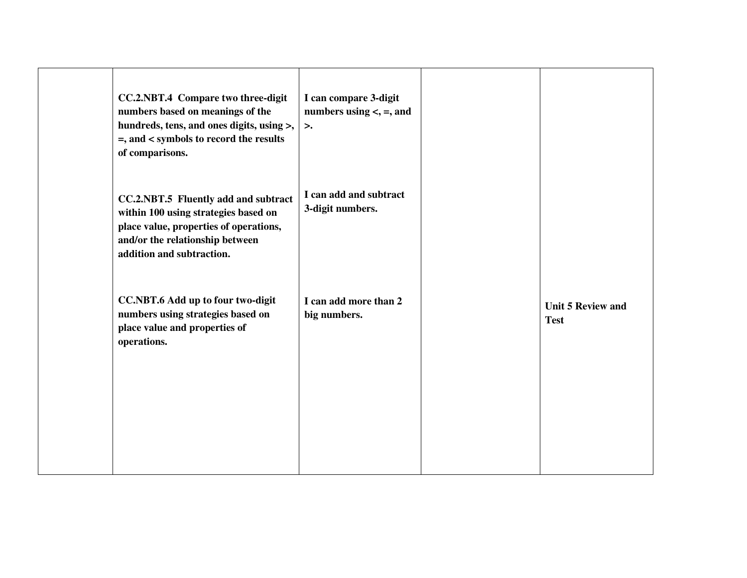| CC.2.NBT.4 Compare two three-digit<br>numbers based on meanings of the<br>hundreds, tens, and ones digits, using >,<br>$=$ , and $<$ symbols to record the results<br>of comparisons.  | I can compare 3-digit<br>numbers using $\lt$ , $=$ , and<br>$\geq$ . |                                         |
|----------------------------------------------------------------------------------------------------------------------------------------------------------------------------------------|----------------------------------------------------------------------|-----------------------------------------|
| CC.2.NBT.5 Fluently add and subtract<br>within 100 using strategies based on<br>place value, properties of operations,<br>and/or the relationship between<br>addition and subtraction. | I can add and subtract<br>3-digit numbers.                           |                                         |
| <b>CC.NBT.6 Add up to four two-digit</b><br>numbers using strategies based on<br>place value and properties of<br>operations.                                                          | I can add more than 2<br>big numbers.                                | <b>Unit 5 Review and</b><br><b>Test</b> |
|                                                                                                                                                                                        |                                                                      |                                         |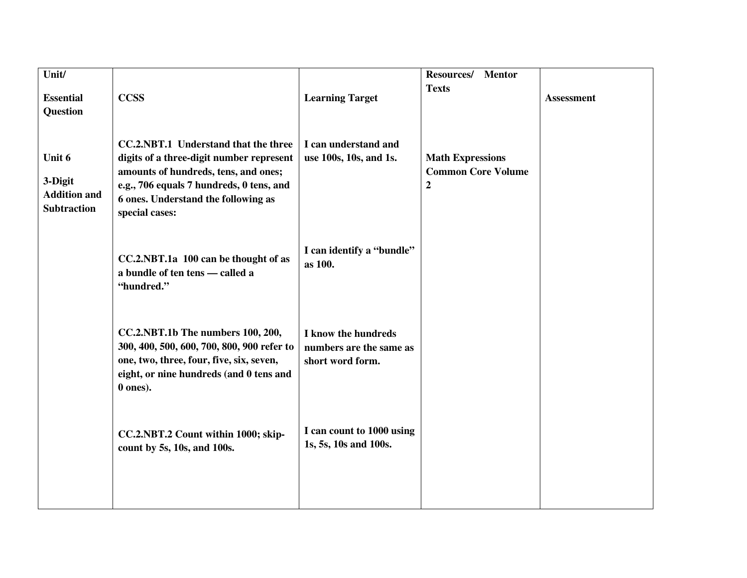| Unit/                                                          |                                                                                                                                                                                                                               |                                                                    | <b>Resources/</b><br><b>Mentor</b>                                       |                   |
|----------------------------------------------------------------|-------------------------------------------------------------------------------------------------------------------------------------------------------------------------------------------------------------------------------|--------------------------------------------------------------------|--------------------------------------------------------------------------|-------------------|
|                                                                |                                                                                                                                                                                                                               |                                                                    | <b>Texts</b>                                                             |                   |
| <b>Essential</b>                                               | <b>CCSS</b>                                                                                                                                                                                                                   | <b>Learning Target</b>                                             |                                                                          | <b>Assessment</b> |
| <b>Question</b>                                                |                                                                                                                                                                                                                               |                                                                    |                                                                          |                   |
| Unit 6<br>3-Digit<br><b>Addition and</b><br><b>Subtraction</b> | CC.2.NBT.1 Understand that the three<br>digits of a three-digit number represent<br>amounts of hundreds, tens, and ones;<br>e.g., 706 equals 7 hundreds, 0 tens, and<br>6 ones. Understand the following as<br>special cases: | I can understand and<br>use 100s, 10s, and 1s.                     | <b>Math Expressions</b><br><b>Common Core Volume</b><br>$\boldsymbol{2}$ |                   |
|                                                                |                                                                                                                                                                                                                               |                                                                    |                                                                          |                   |
|                                                                | CC.2.NBT.1a 100 can be thought of as<br>a bundle of ten tens - called a<br>"hundred."                                                                                                                                         | I can identify a "bundle"<br>as 100.                               |                                                                          |                   |
|                                                                | CC.2.NBT.1b The numbers 100, 200,<br>300, 400, 500, 600, 700, 800, 900 refer to<br>one, two, three, four, five, six, seven,<br>eight, or nine hundreds (and 0 tens and<br>0 ones).                                            | I know the hundreds<br>numbers are the same as<br>short word form. |                                                                          |                   |
|                                                                | CC.2.NBT.2 Count within 1000; skip-<br>count by 5s, 10s, and 100s.                                                                                                                                                            | I can count to 1000 using<br>1s, 5s, 10s and 100s.                 |                                                                          |                   |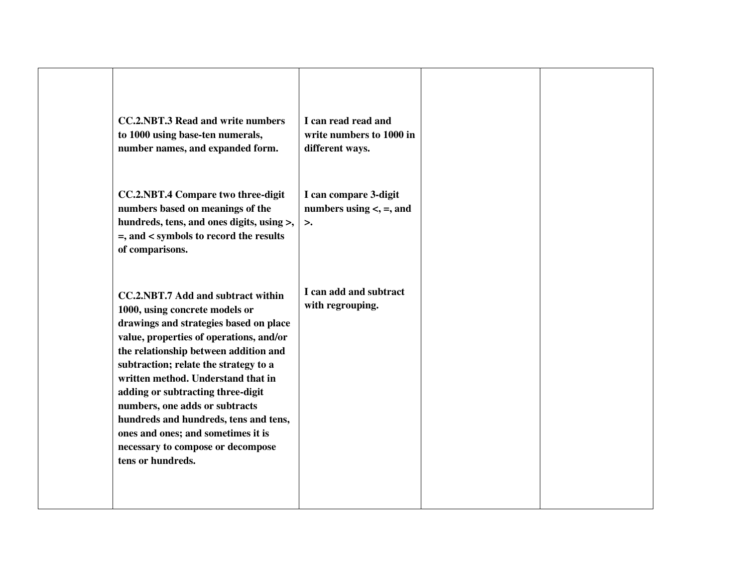| <b>CC.2.NBT.3 Read and write numbers</b><br>to 1000 using base-ten numerals,<br>number names, and expanded form.                                                                                                                                                                                                                                                                                                                                                                                  | I can read read and<br>write numbers to 1000 in<br>different ways. |  |
|---------------------------------------------------------------------------------------------------------------------------------------------------------------------------------------------------------------------------------------------------------------------------------------------------------------------------------------------------------------------------------------------------------------------------------------------------------------------------------------------------|--------------------------------------------------------------------|--|
| <b>CC.2.NBT.4 Compare two three-digit</b><br>numbers based on meanings of the<br>hundreds, tens, and ones digits, using >,<br>=, and < symbols to record the results<br>of comparisons.                                                                                                                                                                                                                                                                                                           | I can compare 3-digit<br>numbers using $\lt$ , $=$ , and<br>>.     |  |
| CC.2.NBT.7 Add and subtract within<br>1000, using concrete models or<br>drawings and strategies based on place<br>value, properties of operations, and/or<br>the relationship between addition and<br>subtraction; relate the strategy to a<br>written method. Understand that in<br>adding or subtracting three-digit<br>numbers, one adds or subtracts<br>hundreds and hundreds, tens and tens,<br>ones and ones; and sometimes it is<br>necessary to compose or decompose<br>tens or hundreds. | I can add and subtract<br>with regrouping.                         |  |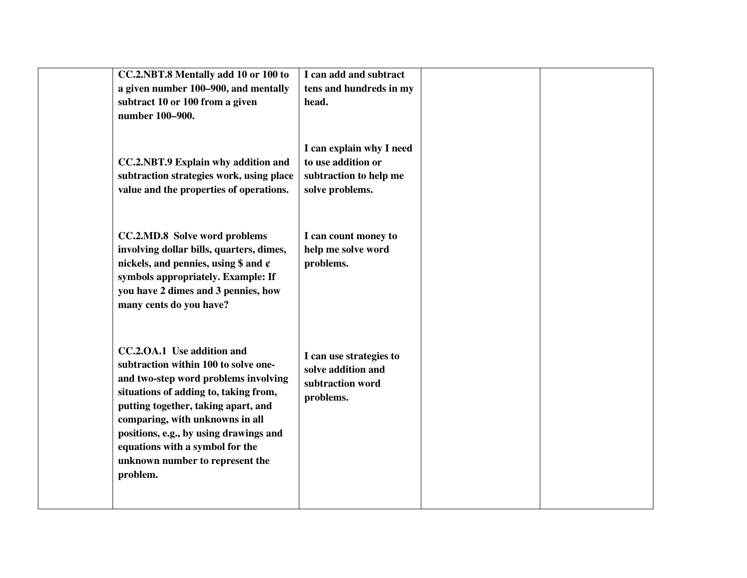| CC.2.NBT.8 Mentally add 10 or 100 to<br>a given number 100–900, and mentally<br>subtract 10 or 100 from a given<br>number 100-900.                                                                                                                                                                                                                        | I can add and subtract<br>tens and hundreds in my<br>head.                                  |
|-----------------------------------------------------------------------------------------------------------------------------------------------------------------------------------------------------------------------------------------------------------------------------------------------------------------------------------------------------------|---------------------------------------------------------------------------------------------|
| <b>CC.2.NBT.9 Explain why addition and</b><br>subtraction strategies work, using place<br>value and the properties of operations.                                                                                                                                                                                                                         | I can explain why I need<br>to use addition or<br>subtraction to help me<br>solve problems. |
| CC.2.MD.8 Solve word problems<br>involving dollar bills, quarters, dimes,<br>nickels, and pennies, using $\frac{1}{2}$ and $\frac{1}{2}$<br>symbols appropriately. Example: If<br>you have 2 dimes and 3 pennies, how<br>many cents do you have?                                                                                                          | I can count money to<br>help me solve word<br>problems.                                     |
| CC.2.OA.1 Use addition and<br>subtraction within 100 to solve one-<br>and two-step word problems involving<br>situations of adding to, taking from,<br>putting together, taking apart, and<br>comparing, with unknowns in all<br>positions, e.g., by using drawings and<br>equations with a symbol for the<br>unknown number to represent the<br>problem. | I can use strategies to<br>solve addition and<br>subtraction word<br>problems.              |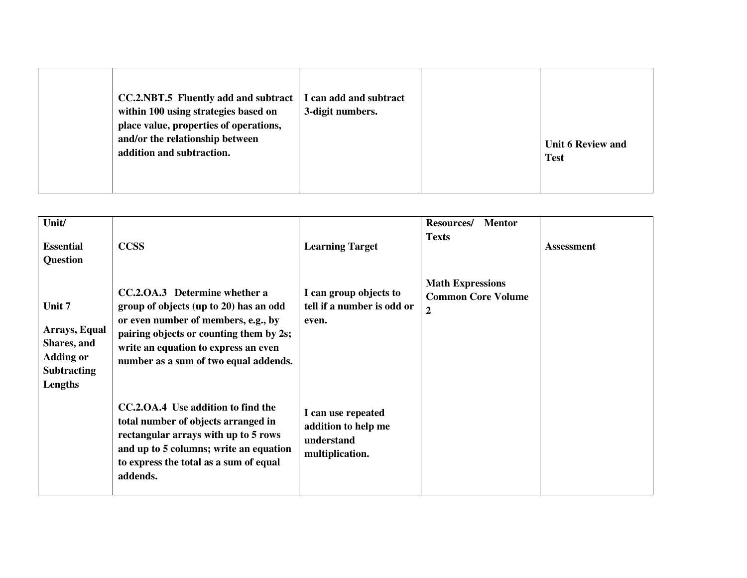| <b>CC.2.NBT.5</b> Fluently add and subtract<br>within 100 using strategies based on<br>place value, properties of operations,<br>and/or the relationship between<br>addition and subtraction. | I can add and subtract<br>3-digit numbers. |  | <b>Unit 6 Review and</b><br><b>Test</b> |
|-----------------------------------------------------------------------------------------------------------------------------------------------------------------------------------------------|--------------------------------------------|--|-----------------------------------------|
|-----------------------------------------------------------------------------------------------------------------------------------------------------------------------------------------------|--------------------------------------------|--|-----------------------------------------|

| Unit/<br><b>Essential</b><br>Question                                                       | <b>CCSS</b>                                                                                                                                                                                                                                | <b>Learning Target</b>                                                     | <b>Resources/</b><br><b>Mentor</b><br><b>Texts</b>                       | <b>Assessment</b> |
|---------------------------------------------------------------------------------------------|--------------------------------------------------------------------------------------------------------------------------------------------------------------------------------------------------------------------------------------------|----------------------------------------------------------------------------|--------------------------------------------------------------------------|-------------------|
| Unit 7<br>Arrays, Equal<br>Shares, and<br><b>Adding or</b><br><b>Subtracting</b><br>Lengths | CC.2.OA.3 Determine whether a<br>group of objects (up to 20) has an odd<br>or even number of members, e.g., by<br>pairing objects or counting them by 2s;<br>write an equation to express an even<br>number as a sum of two equal addends. | I can group objects to<br>tell if a number is odd or<br>even.              | <b>Math Expressions</b><br><b>Common Core Volume</b><br>$\boldsymbol{2}$ |                   |
|                                                                                             | CC.2.0A.4 Use addition to find the<br>total number of objects arranged in<br>rectangular arrays with up to 5 rows<br>and up to 5 columns; write an equation<br>to express the total as a sum of equal<br>addends.                          | I can use repeated<br>addition to help me<br>understand<br>multiplication. |                                                                          |                   |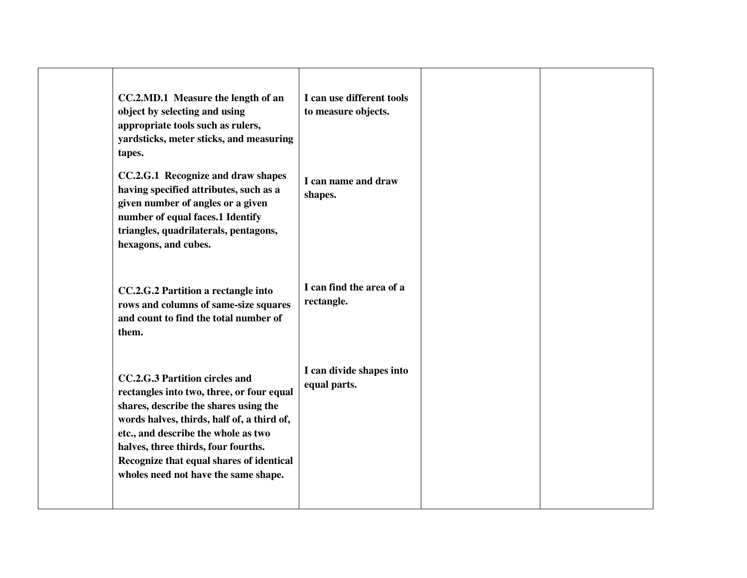| CC.2.MD.1 Measure the length of an<br>object by selecting and using<br>appropriate tools such as rulers,<br>yardsticks, meter sticks, and measuring<br>tapes.                                                                                                                                                                        | I can use different tools<br>to measure objects. |  |
|--------------------------------------------------------------------------------------------------------------------------------------------------------------------------------------------------------------------------------------------------------------------------------------------------------------------------------------|--------------------------------------------------|--|
| CC.2.G.1 Recognize and draw shapes<br>having specified attributes, such as a<br>given number of angles or a given<br>number of equal faces.1 Identify<br>triangles, quadrilaterals, pentagons,<br>hexagons, and cubes.                                                                                                               | I can name and draw<br>shapes.                   |  |
| CC.2.G.2 Partition a rectangle into<br>rows and columns of same-size squares<br>and count to find the total number of<br>them.                                                                                                                                                                                                       | I can find the area of a<br>rectangle.           |  |
| CC.2.G.3 Partition circles and<br>rectangles into two, three, or four equal<br>shares, describe the shares using the<br>words halves, thirds, half of, a third of,<br>etc., and describe the whole as two<br>halves, three thirds, four fourths.<br>Recognize that equal shares of identical<br>wholes need not have the same shape. | I can divide shapes into<br>equal parts.         |  |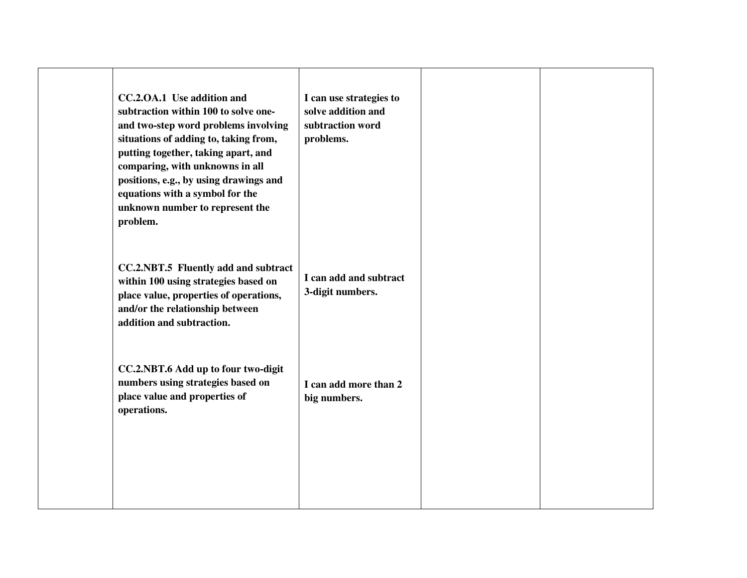| CC.2.OA.1 Use addition and<br>subtraction within 100 to solve one-<br>and two-step word problems involving<br>situations of adding to, taking from,<br>putting together, taking apart, and<br>comparing, with unknowns in all<br>positions, e.g., by using drawings and<br>equations with a symbol for the<br>unknown number to represent the<br>problem. | I can use strategies to<br>solve addition and<br>subtraction word<br>problems. |  |
|-----------------------------------------------------------------------------------------------------------------------------------------------------------------------------------------------------------------------------------------------------------------------------------------------------------------------------------------------------------|--------------------------------------------------------------------------------|--|
| CC.2.NBT.5 Fluently add and subtract<br>within 100 using strategies based on<br>place value, properties of operations,<br>and/or the relationship between<br>addition and subtraction.                                                                                                                                                                    | I can add and subtract<br>3-digit numbers.                                     |  |
| CC.2.NBT.6 Add up to four two-digit<br>numbers using strategies based on<br>place value and properties of<br>operations.                                                                                                                                                                                                                                  | I can add more than 2<br>big numbers.                                          |  |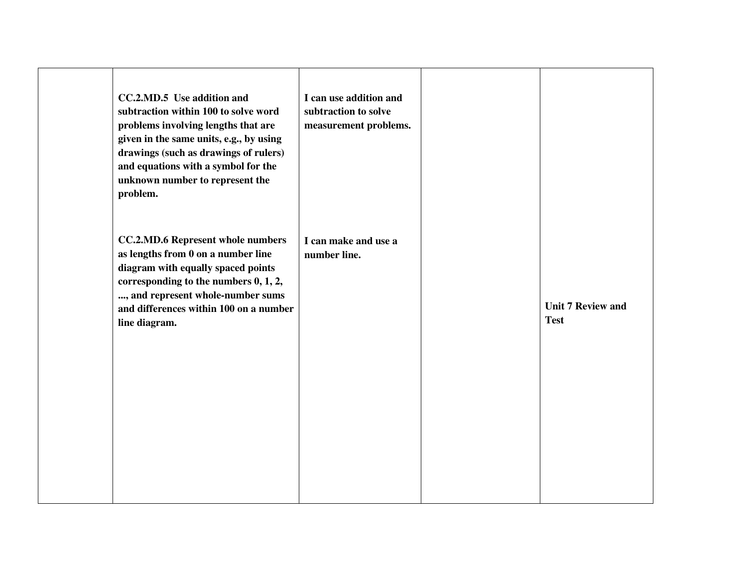| CC.2.MD.5 Use addition and<br>subtraction within 100 to solve word<br>problems involving lengths that are<br>given in the same units, e.g., by using<br>drawings (such as drawings of rulers)<br>and equations with a symbol for the<br>unknown number to represent the<br>problem. | I can use addition and<br>subtraction to solve<br>measurement problems. |                                         |
|-------------------------------------------------------------------------------------------------------------------------------------------------------------------------------------------------------------------------------------------------------------------------------------|-------------------------------------------------------------------------|-----------------------------------------|
| <b>CC.2.MD.6 Represent whole numbers</b><br>as lengths from 0 on a number line<br>diagram with equally spaced points<br>corresponding to the numbers 0, 1, 2,<br>, and represent whole-number sums<br>and differences within 100 on a number<br>line diagram.                       | I can make and use a<br>number line.                                    | <b>Unit 7 Review and</b><br><b>Test</b> |